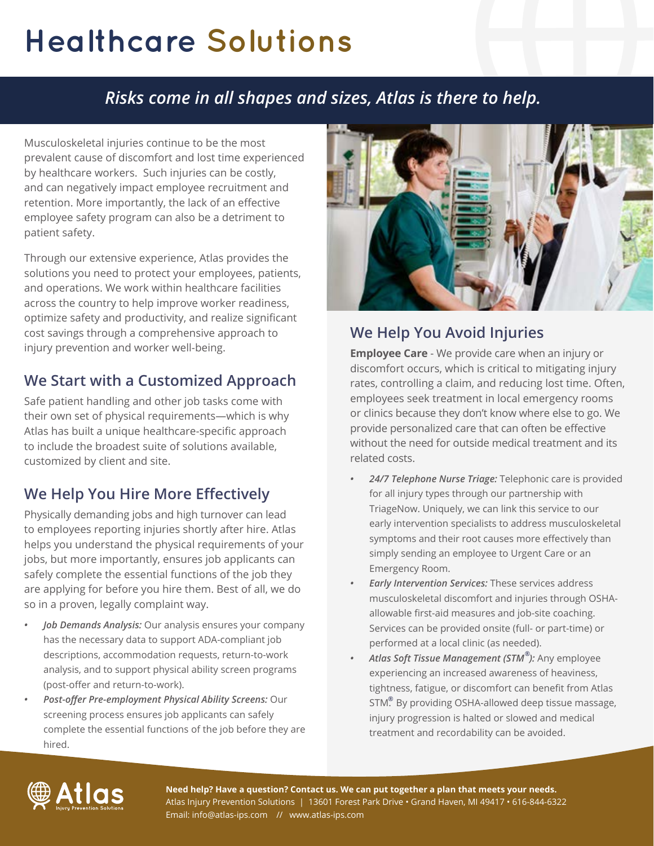# **Healthcare Solutions**

## *Risks come in all shapes and sizes, Atlas is there to help.*

Musculoskeletal injuries continue to be the most prevalent cause of discomfort and lost time experienced by healthcare workers. Such injuries can be costly, and can negatively impact employee recruitment and retention. More importantly, the lack of an effective employee safety program can also be a detriment to patient safety.

Through our extensive experience, Atlas provides the solutions you need to protect your employees, patients, and operations. We work within healthcare facilities across the country to help improve worker readiness, optimize safety and productivity, and realize significant cost savings through a comprehensive approach to injury prevention and worker well-being.

#### **We Start with a Customized Approach**

Safe patient handling and other job tasks come with their own set of physical requirements—which is why Atlas has built a unique healthcare-specific approach to include the broadest suite of solutions available, customized by client and site.

### **We Help You Hire More Effectively**

Physically demanding jobs and high turnover can lead to employees reporting injuries shortly after hire. Atlas helps you understand the physical requirements of your jobs, but more importantly, ensures job applicants can safely complete the essential functions of the job they are applying for before you hire them. Best of all, we do so in a proven, legally complaint way.

- *• Job Demands Analysis:* Our analysis ensures your company has the necessary data to support ADA-compliant job descriptions, accommodation requests, return-to-work analysis, and to support physical ability screen programs (post-offer and return-to-work).
- *• Post-offer Pre-employment Physical Ability Screens:* Our screening process ensures job applicants can safely complete the essential functions of the job before they are hired.



## **We Help You Avoid Injuries**

**Employee Care** - We provide care when an injury or discomfort occurs, which is critical to mitigating injury rates, controlling a claim, and reducing lost time. Often, employees seek treatment in local emergency rooms or clinics because they don't know where else to go. We provide personalized care that can often be effective without the need for outside medical treatment and its related costs.

- *• 24/7 Telephone Nurse Triage:* Telephonic care is provided for all injury types through our partnership with TriageNow. Uniquely, we can link this service to our early intervention specialists to address musculoskeletal symptoms and their root causes more effectively than simply sending an employee to Urgent Care or an Emergency Room.
- *• Early Intervention Services:* These services address musculoskeletal discomfort and injuries through OSHAallowable first-aid measures and job-site coaching. Services can be provided onsite (full- or part-time) or performed at a local clinic (as needed).
- *• Atlas Soft Tissue Management (STM ):* Any employee **®** experiencing an increased awareness of heaviness, tightness, fatigue, or discomfort can benefit from Atlas STM. By providing OSHA-allowed deep tissue massage, **®**injury progression is halted or slowed and medical treatment and recordability can be avoided.



**Need help? Have a question? Contact us. We can put together a plan that meets your needs.** Atlas Injury Prevention Solutions | 13601 Forest Park Drive • Grand Haven, MI 49417 • 616-844-6322 Email: info@atlas-ips.com // www.atlas-ips.com